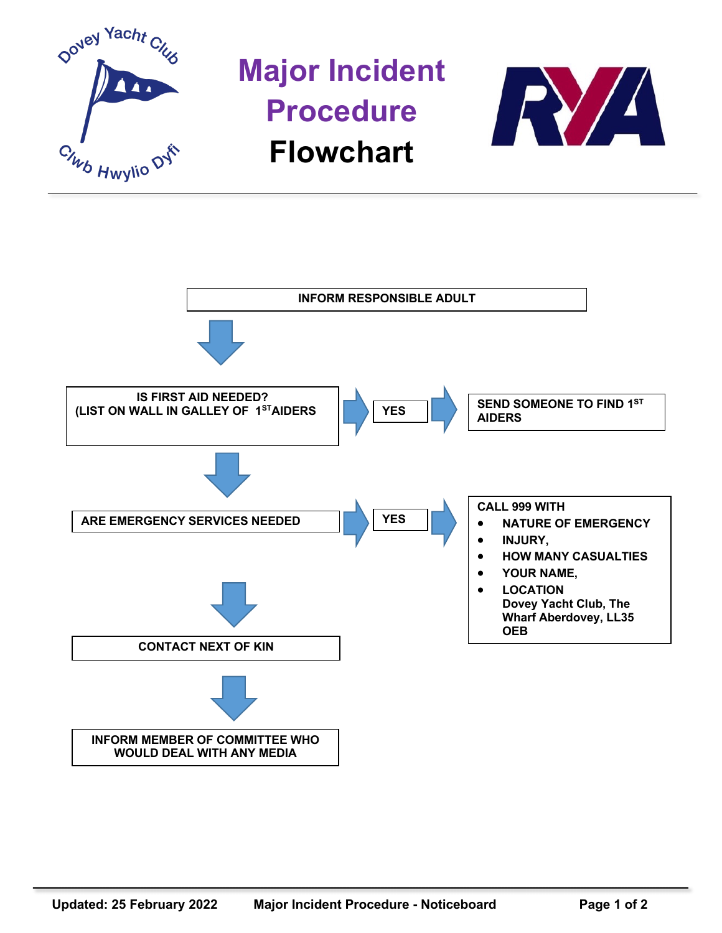

**Major Incident Procedure Flowchart**